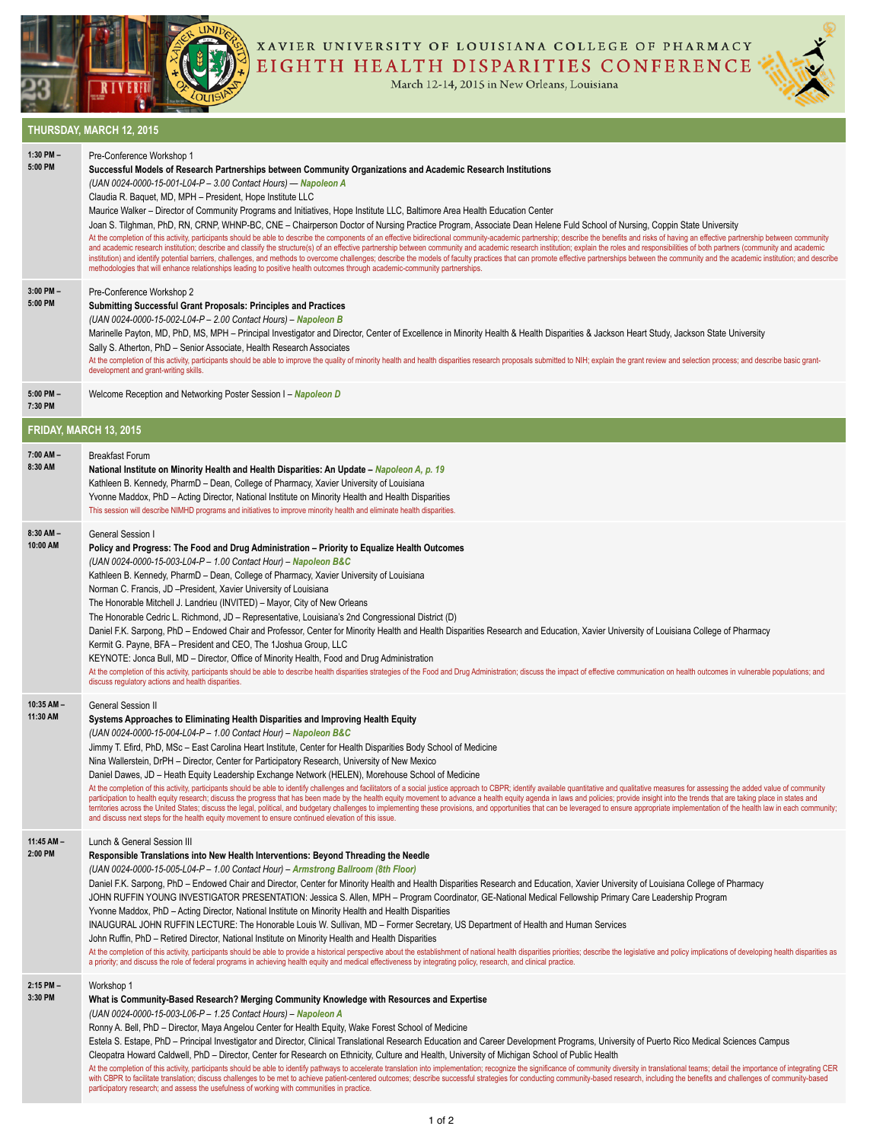



XAVIER UNIVERSITY OF LOUISIANA COLLEGE OF PHARMACY EIGHTH HEALTH DISPARITIES CONFERENCE

March 12-14, 2015 in New Orleans, Louisiana



## **THURSDAY, MARCH 12, 2015 1:30 PM –**  Pre-Conference Workshop 1

| 1:30 PM-<br>5:00 PM        | Pre-Conference Workshop 1<br>Successful Models of Research Partnerships between Community Organizations and Academic Research Institutions<br>(UAN 0024-0000-15-001-L04-P - 3.00 Contact Hours) - Napoleon A<br>Claudia R. Baquet, MD, MPH - President, Hope Institute LLC<br>Maurice Walker – Director of Community Programs and Initiatives, Hope Institute LLC, Baltimore Area Health Education Center<br>Joan S. Tilghman, PhD, RN, CRNP, WHNP-BC, CNE - Chairperson Doctor of Nursing Practice Program, Associate Dean Helene Fuld School of Nursing, Coppin State University<br>At the completion of this activity, participants should be able to describe the components of an effective bidirectional community-academic partnership; describe the benefits and risks of having an effective partnership be<br>and academic research institution; describe and classify the structure(s) of an effective partnership between community and academic research institution; explain the roles and responsibilities of both partners (community<br>institution) and identify potential barriers, challenges, and methods to overcome challenges; describe the models of faculty practices that can promote effective partnerships between the community and the academic institut<br>methodologies that will enhance relationships leading to positive health outcomes through academic-community partnerships. |
|----------------------------|-----------------------------------------------------------------------------------------------------------------------------------------------------------------------------------------------------------------------------------------------------------------------------------------------------------------------------------------------------------------------------------------------------------------------------------------------------------------------------------------------------------------------------------------------------------------------------------------------------------------------------------------------------------------------------------------------------------------------------------------------------------------------------------------------------------------------------------------------------------------------------------------------------------------------------------------------------------------------------------------------------------------------------------------------------------------------------------------------------------------------------------------------------------------------------------------------------------------------------------------------------------------------------------------------------------------------------------------------------------------------------------------------------------------------|
| $3:00$ PM $-$<br>5:00 PM   | Pre-Conference Workshop 2<br><b>Submitting Successful Grant Proposals: Principles and Practices</b><br>(UAN 0024-0000-15-002-L04-P - 2.00 Contact Hours) - Napoleon B<br>Marinelle Payton, MD, PhD, MS, MPH - Principal Investigator and Director, Center of Excellence in Minority Health & Health Disparities & Jackson Heart Study, Jackson State University<br>Sally S. Atherton, PhD - Senior Associate, Health Research Associates<br>At the completion of this activity, participants should be able to improve the quality of minority health and health disparities research proposals submitted to NIH; explain the grant review and selection process; and desc<br>development and grant-writing skills.                                                                                                                                                                                                                                                                                                                                                                                                                                                                                                                                                                                                                                                                                                   |
| 5:00 PM-<br>7:30 PM        | Welcome Reception and Networking Poster Session I - Napoleon D                                                                                                                                                                                                                                                                                                                                                                                                                                                                                                                                                                                                                                                                                                                                                                                                                                                                                                                                                                                                                                                                                                                                                                                                                                                                                                                                                        |
| FRIDAY, MARCH 13, 2015     |                                                                                                                                                                                                                                                                                                                                                                                                                                                                                                                                                                                                                                                                                                                                                                                                                                                                                                                                                                                                                                                                                                                                                                                                                                                                                                                                                                                                                       |
| 7:00 AM -<br>8:30 AM       | <b>Breakfast Forum</b><br>National Institute on Minority Health and Health Disparities: An Update – Napoleon A, p. 19<br>Kathleen B. Kennedy, PharmD - Dean, College of Pharmacy, Xavier University of Louisiana<br>Yvonne Maddox, PhD - Acting Director, National Institute on Minority Health and Health Disparities<br>This session will describe NIMHD programs and initiatives to improve minority health and eliminate health disparities.                                                                                                                                                                                                                                                                                                                                                                                                                                                                                                                                                                                                                                                                                                                                                                                                                                                                                                                                                                      |
| $8:30$ AM $-$<br>10:00 AM  | General Session I<br>Policy and Progress: The Food and Drug Administration - Priority to Equalize Health Outcomes<br>(UAN 0024-0000-15-003-L04-P - 1.00 Contact Hour) - Napoleon B&C<br>Kathleen B. Kennedy, PharmD - Dean, College of Pharmacy, Xavier University of Louisiana<br>Norman C. Francis, JD - President, Xavier University of Louisiana<br>The Honorable Mitchell J. Landrieu (INVITED) - Mayor, City of New Orleans<br>The Honorable Cedric L. Richmond, JD - Representative, Louisiana's 2nd Congressional District (D)<br>Daniel F.K. Sarpong, PhD - Endowed Chair and Professor, Center for Minority Health and Health Disparities Research and Education, Xavier University of Louisiana College of Pharmacy<br>Kermit G. Payne, BFA – President and CEO, The 1 Joshua Group, LLC<br>KEYNOTE: Jonca Bull, MD – Director, Office of Minority Health, Food and Drug Administration<br>At the completion of this activity, participants should be able to describe health disparities strategies of the Food and Drug Administration; discuss the impact of effective communication on health outcomes in vulnerable<br>discuss regulatory actions and health disparities.                                                                                                                                                                                                                             |
| $10:35$ AM $-$<br>11:30 AM | General Session II<br>Systems Approaches to Eliminating Health Disparities and Improving Health Equity<br>(UAN 0024-0000-15-004-L04-P - 1.00 Contact Hour) - Napoleon B&C<br>Jimmy T. Efird, PhD, MSc - East Carolina Heart Institute, Center for Health Disparities Body School of Medicine<br>Nina Wallerstein, DrPH – Director, Center for Participatory Research, University of New Mexico<br>Daniel Dawes, JD - Heath Equity Leadership Exchange Network (HELEN), Morehouse School of Medicine<br>At the completion of this activity, participants should be able to identify challenges and facilitators of a social justice approach to CBPR; identify available quantitative and qualitative measures for assessing the added<br>participation to health equity research; discuss the progress that has been made by the health equity movement to advance a health equity agenda in laws and policies; provide insight into the trends that are taking place i<br>territories across the United States; discuss the legal, political, and budgetary challenges to implementing these provisions, and opportunities that can be leveraged to ensure appropriate implementation of the health law<br>and discuss next steps for the health equity movement to ensure continued elevation of this issue.                                                                                                        |
| $11:45$ AM $-$<br>2:00 PM  | Lunch & General Session III<br>Responsible Translations into New Health Interventions: Beyond Threading the Needle<br>(UAN 0024-0000-15-005-L04-P - 1.00 Contact Hour) - Armstrong Ballroom (8th Floor)<br>Daniel F.K. Sarpong, PhD – Endowed Chair and Director, Center for Minority Health and Health Disparities Research and Education, Xavier University of Louisiana College of Pharmacy<br>JOHN RUFFIN YOUNG INVESTIGATOR PRESENTATION: Jessica S. Allen, MPH - Program Coordinator, GE-National Medical Fellowship Primary Care Leadership Program<br>Yvonne Maddox, PhD – Acting Director, National Institute on Minority Health and Health Disparities<br>INAUGURAL JOHN RUFFIN LECTURE: The Honorable Louis W. Sullivan, MD - Former Secretary, US Department of Health and Human Services<br>John Ruffin, PhD - Retired Director, National Institute on Minority Health and Health Disparities<br>At the completion of this activity, participants should be able to provide a historical perspective about the establishment of national health disparities priorities; describe the legislative and policy implications of dev<br>a priority; and discuss the role of federal programs in achieving health equity and medical effectiveness by integrating policy, research, and clinical practice.                                                                                                     |
| 2:15 PM-<br>3:30 PM        | Workshop 1<br>What is Community-Based Research? Merging Community Knowledge with Resources and Expertise<br>(UAN 0024-0000-15-003-L06-P - 1.25 Contact Hours) - Napoleon A<br>Ronny A. Bell, PhD – Director, Maya Angelou Center for Health Equity, Wake Forest School of Medicine<br>Estela S. Estape, PhD – Principal Investigator and Director, Clinical Translational Research Education and Career Development Programs, University of Puerto Rico Medical Sciences Campus<br>Cleopatra Howard Caldwell, PhD – Director, Center for Research on Ethnicity, Culture and Health, University of Michigan School of Public Health<br>At the completion of this activity, participants should be able to identify pathways to accelerate translation into implementation; recognize the significance of community diversity in translational teams; detail the impor<br>with CBPR to facilitate translation; discuss challenges to be met to achieve patient-centered outcomes; describe successful strategies for conducting community-based research, including the benefits and challenges of commu<br>participatory research; and assess the usefulness of working with communities in practice.                                                                                                                                                                                                                  |